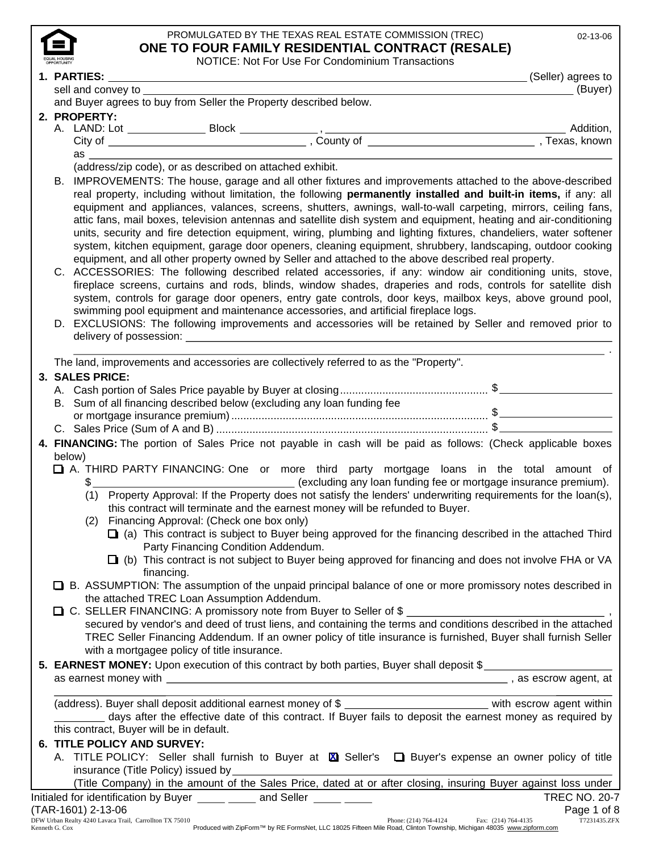| PROMULGATED BY THE TEXAS REAL ESTATE COMMISSION (TREC)<br>ONE TO FOUR FAMILY RESIDENTIAL CONTRACT (RESALE)<br>NOTICE: Not For Use For Condominium Transactions                                                                                                                                                                                                                                                                                                                                                                                                                                                                                                                                                                                                                                                                                                                                                                                                                                                                                                                                                                                                                                                                                                                                                                                                                                                                   | 02-13-06                            |
|----------------------------------------------------------------------------------------------------------------------------------------------------------------------------------------------------------------------------------------------------------------------------------------------------------------------------------------------------------------------------------------------------------------------------------------------------------------------------------------------------------------------------------------------------------------------------------------------------------------------------------------------------------------------------------------------------------------------------------------------------------------------------------------------------------------------------------------------------------------------------------------------------------------------------------------------------------------------------------------------------------------------------------------------------------------------------------------------------------------------------------------------------------------------------------------------------------------------------------------------------------------------------------------------------------------------------------------------------------------------------------------------------------------------------------|-------------------------------------|
| 1. PARTIES: ___                                                                                                                                                                                                                                                                                                                                                                                                                                                                                                                                                                                                                                                                                                                                                                                                                                                                                                                                                                                                                                                                                                                                                                                                                                                                                                                                                                                                                  | (Seller) agrees to                  |
| sell and convey to _____                                                                                                                                                                                                                                                                                                                                                                                                                                                                                                                                                                                                                                                                                                                                                                                                                                                                                                                                                                                                                                                                                                                                                                                                                                                                                                                                                                                                         | $\equiv$ (Buyer)                    |
| and Buyer agrees to buy from Seller the Property described below.                                                                                                                                                                                                                                                                                                                                                                                                                                                                                                                                                                                                                                                                                                                                                                                                                                                                                                                                                                                                                                                                                                                                                                                                                                                                                                                                                                |                                     |
| 2. PROPERTY:                                                                                                                                                                                                                                                                                                                                                                                                                                                                                                                                                                                                                                                                                                                                                                                                                                                                                                                                                                                                                                                                                                                                                                                                                                                                                                                                                                                                                     |                                     |
|                                                                                                                                                                                                                                                                                                                                                                                                                                                                                                                                                                                                                                                                                                                                                                                                                                                                                                                                                                                                                                                                                                                                                                                                                                                                                                                                                                                                                                  |                                     |
| as                                                                                                                                                                                                                                                                                                                                                                                                                                                                                                                                                                                                                                                                                                                                                                                                                                                                                                                                                                                                                                                                                                                                                                                                                                                                                                                                                                                                                               |                                     |
| (address/zip code), or as described on attached exhibit.                                                                                                                                                                                                                                                                                                                                                                                                                                                                                                                                                                                                                                                                                                                                                                                                                                                                                                                                                                                                                                                                                                                                                                                                                                                                                                                                                                         |                                     |
| B. IMPROVEMENTS: The house, garage and all other fixtures and improvements attached to the above-described<br>real property, including without limitation, the following permanently installed and built-in items, if any: all<br>equipment and appliances, valances, screens, shutters, awnings, wall-to-wall carpeting, mirrors, ceiling fans,<br>attic fans, mail boxes, television antennas and satellite dish system and equipment, heating and air-conditioning<br>units, security and fire detection equipment, wiring, plumbing and lighting fixtures, chandeliers, water softener<br>system, kitchen equipment, garage door openers, cleaning equipment, shrubbery, landscaping, outdoor cooking<br>equipment, and all other property owned by Seller and attached to the above described real property.<br>C. ACCESSORIES: The following described related accessories, if any: window air conditioning units, stove,<br>fireplace screens, curtains and rods, blinds, window shades, draperies and rods, controls for satellite dish<br>system, controls for garage door openers, entry gate controls, door keys, mailbox keys, above ground pool,<br>swimming pool equipment and maintenance accessories, and artificial fireplace logs.<br>D. EXCLUSIONS: The following improvements and accessories will be retained by Seller and removed prior to<br>delivery of possession: example and a series of possession: |                                     |
| The land, improvements and accessories are collectively referred to as the "Property".                                                                                                                                                                                                                                                                                                                                                                                                                                                                                                                                                                                                                                                                                                                                                                                                                                                                                                                                                                                                                                                                                                                                                                                                                                                                                                                                           |                                     |
| 3. SALES PRICE:                                                                                                                                                                                                                                                                                                                                                                                                                                                                                                                                                                                                                                                                                                                                                                                                                                                                                                                                                                                                                                                                                                                                                                                                                                                                                                                                                                                                                  |                                     |
| B. Sum of all financing described below (excluding any loan funding fee                                                                                                                                                                                                                                                                                                                                                                                                                                                                                                                                                                                                                                                                                                                                                                                                                                                                                                                                                                                                                                                                                                                                                                                                                                                                                                                                                          |                                     |
|                                                                                                                                                                                                                                                                                                                                                                                                                                                                                                                                                                                                                                                                                                                                                                                                                                                                                                                                                                                                                                                                                                                                                                                                                                                                                                                                                                                                                                  |                                     |
|                                                                                                                                                                                                                                                                                                                                                                                                                                                                                                                                                                                                                                                                                                                                                                                                                                                                                                                                                                                                                                                                                                                                                                                                                                                                                                                                                                                                                                  |                                     |
| 4. FINANCING: The portion of Sales Price not payable in cash will be paid as follows: (Check applicable boxes                                                                                                                                                                                                                                                                                                                                                                                                                                                                                                                                                                                                                                                                                                                                                                                                                                                                                                                                                                                                                                                                                                                                                                                                                                                                                                                    |                                     |
| below)<br>A. THIRD PARTY FINANCING: One or more third party mortgage loans in the total amount of<br>(excluding any loan funding fee or mortgage insurance premium).<br>\$_<br>(1) Property Approval: If the Property does not satisfy the lenders' underwriting requirements for the loan(s),<br>this contract will terminate and the earnest money will be refunded to Buyer.<br>(2) Financing Approval: (Check one box only)<br>$\Box$ (a) This contract is subject to Buyer being approved for the financing described in the attached Third<br>Party Financing Condition Addendum.<br>$\Box$ (b) This contract is not subject to Buyer being approved for financing and does not involve FHA or VA<br>financing.                                                                                                                                                                                                                                                                                                                                                                                                                                                                                                                                                                                                                                                                                                            |                                     |
| □ B. ASSUMPTION: The assumption of the unpaid principal balance of one or more promissory notes described in                                                                                                                                                                                                                                                                                                                                                                                                                                                                                                                                                                                                                                                                                                                                                                                                                                                                                                                                                                                                                                                                                                                                                                                                                                                                                                                     |                                     |
| the attached TREC Loan Assumption Addendum.                                                                                                                                                                                                                                                                                                                                                                                                                                                                                                                                                                                                                                                                                                                                                                                                                                                                                                                                                                                                                                                                                                                                                                                                                                                                                                                                                                                      |                                     |
| □ C. SELLER FINANCING: A promissory note from Buyer to Seller of \$<br>secured by vendor's and deed of trust liens, and containing the terms and conditions described in the attached<br>TREC Seller Financing Addendum. If an owner policy of title insurance is furnished, Buyer shall furnish Seller<br>with a mortgagee policy of title insurance.                                                                                                                                                                                                                                                                                                                                                                                                                                                                                                                                                                                                                                                                                                                                                                                                                                                                                                                                                                                                                                                                           |                                     |
| 5. EARNEST MONEY: Upon execution of this contract by both parties, Buyer shall deposit \$                                                                                                                                                                                                                                                                                                                                                                                                                                                                                                                                                                                                                                                                                                                                                                                                                                                                                                                                                                                                                                                                                                                                                                                                                                                                                                                                        |                                     |
|                                                                                                                                                                                                                                                                                                                                                                                                                                                                                                                                                                                                                                                                                                                                                                                                                                                                                                                                                                                                                                                                                                                                                                                                                                                                                                                                                                                                                                  |                                     |
| <u> 1989 - Johann Barn, mars ann an t-Amhain Aonaich an t-Aonaich an t-Aonaich an t-Aonaich an t-Aonaich an t-Aon</u><br>(address). Buyer shall deposit additional earnest money of \$ ___________________________ with escrow agent within<br>days after the effective date of this contract. If Buyer fails to deposit the earnest money as required by<br>this contract, Buyer will be in default.<br>6. TITLE POLICY AND SURVEY:<br>A. TITLE POLICY: Seller shall furnish to Buyer at X Seller's D Buyer's expense an owner policy of title                                                                                                                                                                                                                                                                                                                                                                                                                                                                                                                                                                                                                                                                                                                                                                                                                                                                                  |                                     |
| insurance (Title Policy) issued by<br>(Title Company) in the amount of the Sales Price, dated at or after closing, insuring Buyer against loss under                                                                                                                                                                                                                                                                                                                                                                                                                                                                                                                                                                                                                                                                                                                                                                                                                                                                                                                                                                                                                                                                                                                                                                                                                                                                             |                                     |
| Initialed for identification by Buyer _____ ____ and Seller ____ ___                                                                                                                                                                                                                                                                                                                                                                                                                                                                                                                                                                                                                                                                                                                                                                                                                                                                                                                                                                                                                                                                                                                                                                                                                                                                                                                                                             | <b>TREC NO. 20-7</b>                |
| (TAR-1601) 2-13-06                                                                                                                                                                                                                                                                                                                                                                                                                                                                                                                                                                                                                                                                                                                                                                                                                                                                                                                                                                                                                                                                                                                                                                                                                                                                                                                                                                                                               | Page 1 of 8                         |
| DFW Urban Realty 4240 Lavaca Trail, Carrollton TX 75010<br>Phone: (214) 764-4124<br>Produced with ZipForm™ by RE FormsNet, LLC 18025 Fifteen Mile Road, Clinton Township, Michigan 48035 www.zipform.com<br>Kenneth G. Cox                                                                                                                                                                                                                                                                                                                                                                                                                                                                                                                                                                                                                                                                                                                                                                                                                                                                                                                                                                                                                                                                                                                                                                                                       | T7231435.ZFX<br>Fax: (214) 764-4135 |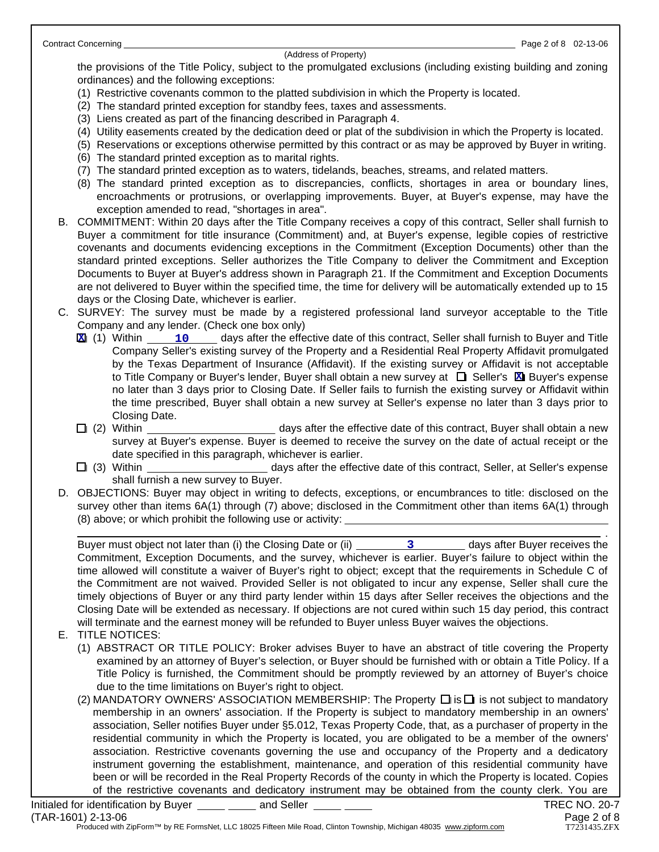### (Address of Property)

the provisions of the Title Policy, subject to the promulgated exclusions (including existing building and zoning ordinances) and the following exceptions:

- (1) Restrictive covenants common to the platted subdivision in which the Property is located.
- The standard printed exception for standby fees, taxes and assessments. (2)
- Liens created as part of the financing described in Paragraph 4. (3)
- Utility easements created by the dedication deed or plat of the subdivision in which the Property is located. (4)
- (5) Reservations or exceptions otherwise permitted by this contract or as may be approved by Buyer in writing.
- (6) The standard printed exception as to marital rights.
- (7) The standard printed exception as to waters, tidelands, beaches, streams, and related matters.
- (8) The standard printed exception as to discrepancies, conflicts, shortages in area or boundary lines, encroachments or protrusions, or overlapping improvements. Buyer, at Buyer's expense, may have the exception amended to read, "shortages in area".
- B. COMMITMENT: Within 20 days after the Title Company receives a copy of this contract, Seller shall furnish to Buyer a commitment for title insurance (Commitment) and, at Buyer's expense, legible copies of restrictive covenants and documents evidencing exceptions in the Commitment (Exception Documents) other than the standard printed exceptions. Seller authorizes the Title Company to deliver the Commitment and Exception Documents to Buyer at Buyer's address shown in Paragraph 21. If the Commitment and Exception Documents are not delivered to Buyer within the specified time, the time for delivery will be automatically extended up to 15 days or the Closing Date, whichever is earlier.
- C. SURVEY: The survey must be made by a registered professional land surveyor acceptable to the Title Company and any lender. (Check one box only)
	- days after the effective date of this contract, Seller shall furnish to Buyer and Title to Title Company or Buyer's lender, Buyer shall obtain a new survey at □ Seller's **図** Buyer's expense (1) Within **X 10** Company Seller's existing survey of the Property and a Residential Real Property Affidavit promulgated by the Texas Department of Insurance (Affidavit). If the existing survey or Affidavit is not acceptable no later than 3 days prior to Closing Date. If Seller fails to furnish the existing survey or Affidavit within the time prescribed, Buyer shall obtain a new survey at Seller's expense no later than 3 days prior to Closing Date.
	- $\Box$  (2) Within days after the effective date of this contract, Buyer shall obtain a new survey at Buyer's expense. Buyer is deemed to receive the survey on the date of actual receipt or the date specified in this paragraph, whichever is earlier.
	- $\Box$  (3) Within  $\Box$  days after the effective date of this contract, Seller, at Seller's expense shall furnish a new survey to Buyer.
- D. OBJECTIONS: Buyer may object in writing to defects, exceptions, or encumbrances to title: disclosed on the survey other than items 6A(1) through (7) above; disclosed in the Commitment other than items 6A(1) through (8) above; or which prohibit the following use or activity:

Commitment, Exception Documents, and the survey, whichever is earlier. Buyer's failure to object within the time allowed will constitute a waiver of Buyer's right to object; except that the requirements in Schedule C of the Commitment are not waived. Provided Seller is not obligated to incur any expense, Seller shall cure the timely objections of Buyer or any third party lender within 15 days after Seller receives the objections and the Closing Date will be extended as necessary. If objections are not cured within such 15 day period, this contract will terminate and the earnest money will be refunded to Buyer unless Buyer waives the objections. Buyer must object not later than (i) the Closing Date or (ii) 3 days after Buyer receives the **3**

- E. TITLE NOTICES:
	- (1) ABSTRACT OR TITLE POLICY: Broker advises Buyer to have an abstract of title covering the Property examined by an attorney of Buyer's selection, or Buyer should be furnished with or obtain a Title Policy. If a Title Policy is furnished, the Commitment should be promptly reviewed by an attorney of Buyer's choice due to the time limitations on Buyer's right to object.
	- (2) MANDATORY OWNERS' ASSOCIATION MEMBERSHIP: The Property  $\Box$  is  $\Box$  is not subject to mandatory membership in an owners' association. If the Property is subject to mandatory membership in an owners' association, Seller notifies Buyer under §5.012, Texas Property Code, that, as a purchaser of property in the residential community in which the Property is located, you are obligated to be a member of the owners' association. Restrictive covenants governing the use and occupancy of the Property and a dedicatory instrument governing the establishment, maintenance, and operation of this residential community have been or will be recorded in the Real Property Records of the county in which the Property is located. Copies of the restrictive covenants and dedicatory instrument may be obtained from the county clerk. You are

.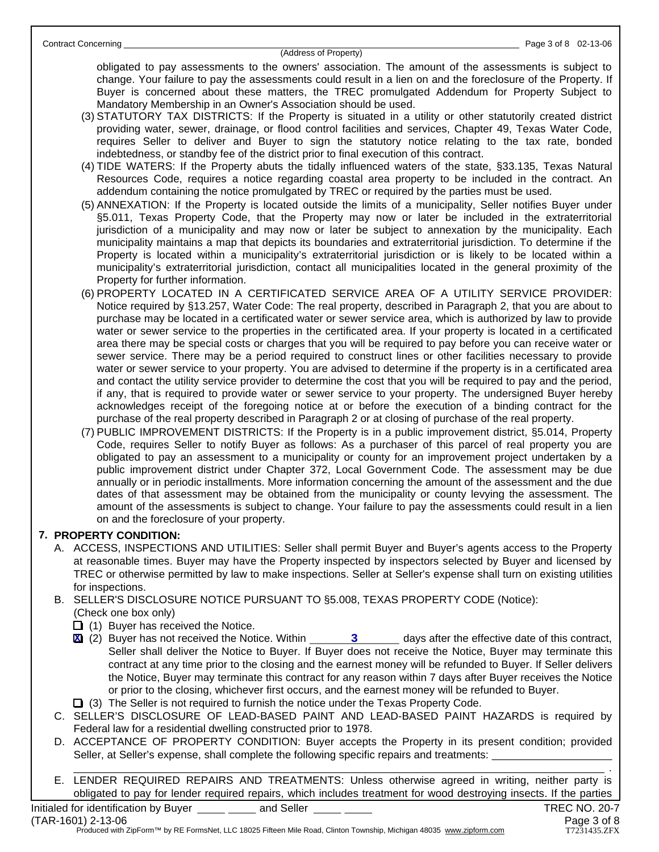#### (Address of Property)

obligated to pay assessments to the owners' association. The amount of the assessments is subject to change. Your failure to pay the assessments could result in a lien on and the foreclosure of the Property. If Buyer is concerned about these matters, the TREC promulgated Addendum for Property Subject to Mandatory Membership in an Owner's Association should be used.

- (3) STATUTORY TAX DISTRICTS: If the Property is situated in a utility or other statutorily created district providing water, sewer, drainage, or flood control facilities and services, Chapter 49, Texas Water Code, requires Seller to deliver and Buyer to sign the statutory notice relating to the tax rate, bonded indebtedness, or standby fee of the district prior to final execution of this contract.
- (4) TIDE WATERS: If the Property abuts the tidally influenced waters of the state, §33.135, Texas Natural Resources Code, requires a notice regarding coastal area property to be included in the contract. An addendum containing the notice promulgated by TREC or required by the parties must be used.
- (5) ANNEXATION: If the Property is located outside the limits of a municipality, Seller notifies Buyer under §5.011, Texas Property Code, that the Property may now or later be included in the extraterritorial jurisdiction of a municipality and may now or later be subject to annexation by the municipality. Each municipality maintains a map that depicts its boundaries and extraterritorial jurisdiction. To determine if the Property is located within a municipality's extraterritorial jurisdiction or is likely to be located within a municipality's extraterritorial jurisdiction, contact all municipalities located in the general proximity of the Property for further information.
- (6) PROPERTY LOCATED IN A CERTIFICATED SERVICE AREA OF A UTILITY SERVICE PROVIDER: Notice required by §13.257, Water Code: The real property, described in Paragraph 2, that you are about to purchase may be located in a certificated water or sewer service area, which is authorized by law to provide water or sewer service to the properties in the certificated area. If your property is located in a certificated area there may be special costs or charges that you will be required to pay before you can receive water or sewer service. There may be a period required to construct lines or other facilities necessary to provide water or sewer service to your property. You are advised to determine if the property is in a certificated area and contact the utility service provider to determine the cost that you will be required to pay and the period, if any, that is required to provide water or sewer service to your property. The undersigned Buyer hereby acknowledges receipt of the foregoing notice at or before the execution of a binding contract for the purchase of the real property described in Paragraph 2 or at closing of purchase of the real property.
- (7) PUBLIC IMPROVEMENT DISTRICTS: If the Property is in a public improvement district, §5.014, Property Code, requires Seller to notify Buyer as follows: As a purchaser of this parcel of real property you are obligated to pay an assessment to a municipality or county for an improvement project undertaken by a public improvement district under Chapter 372, Local Government Code. The assessment may be due annually or in periodic installments. More information concerning the amount of the assessment and the due dates of that assessment may be obtained from the municipality or county levying the assessment. The amount of the assessments is subject to change. Your failure to pay the assessments could result in a lien on and the foreclosure of your property.

## **7. PROPERTY CONDITION:**

- A. ACCESS, INSPECTIONS AND UTILITIES: Seller shall permit Buyer and Buyer's agents access to the Property at reasonable times. Buyer may have the Property inspected by inspectors selected by Buyer and licensed by TREC or otherwise permitted by law to make inspections. Seller at Seller's expense shall turn on existing utilities for inspections.
- B. SELLER'S DISCLOSURE NOTICE PURSUANT TO §5.008, TEXAS PROPERTY CODE (Notice): (Check one box only)
	- $\Box$  (1) Buyer has received the Notice.
	- **X** (2) Buyer has not received the Notice. Within \_\_\_\_\_\_\_\_3 \_\_\_\_\_\_\_ days after the effective date of this contract, Seller shall deliver the Notice to Buyer. If Buyer does not receive the Notice, Buyer may terminate this contract at any time prior to the closing and the earnest money will be refunded to Buyer. If Seller delivers the Notice, Buyer may terminate this contract for any reason within 7 days after Buyer receives the Notice or prior to the closing, whichever first occurs, and the earnest money will be refunded to Buyer.
	- $\Box$  (3) The Seller is not required to furnish the notice under the Texas Property Code.
- C. SELLER'S DISCLOSURE OF LEAD-BASED PAINT AND LEAD-BASED PAINT HAZARDS is required by Federal law for a residential dwelling constructed prior to 1978.
- D. ACCEPTANCE OF PROPERTY CONDITION: Buyer accepts the Property in its present condition; provided Seller, at Seller's expense, shall complete the following specific repairs and treatments:
- E. LENDER REQUIRED REPAIRS AND TREATMENTS: Unless otherwise agreed in writing, neither party is obligated to pay for lender required repairs, which includes treatment for wood destroying insects. If the parties Initialed for identification by Buyer and Seller and Seller TREC NO. 20-7

.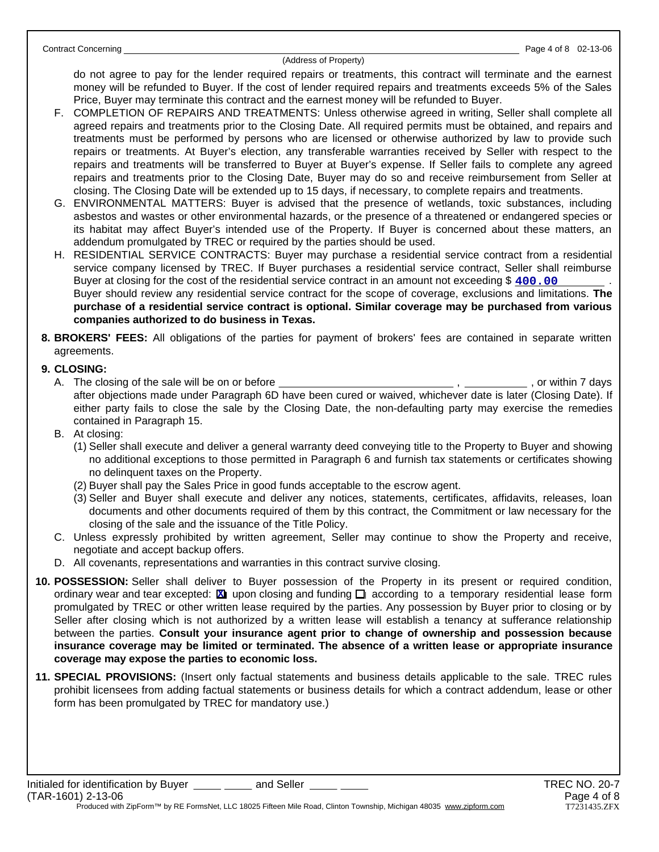## (Address of Property)

do not agree to pay for the lender required repairs or treatments, this contract will terminate and the earnest money will be refunded to Buyer. If the cost of lender required repairs and treatments exceeds 5% of the Sales Price, Buyer may terminate this contract and the earnest money will be refunded to Buyer.

- F. COMPLETION OF REPAIRS AND TREATMENTS: Unless otherwise agreed in writing, Seller shall complete all agreed repairs and treatments prior to the Closing Date. All required permits must be obtained, and repairs and treatments must be performed by persons who are licensed or otherwise authorized by law to provide such repairs or treatments. At Buyer's election, any transferable warranties received by Seller with respect to the repairs and treatments will be transferred to Buyer at Buyer's expense. If Seller fails to complete any agreed repairs and treatments prior to the Closing Date, Buyer may do so and receive reimbursement from Seller at closing. The Closing Date will be extended up to 15 days, if necessary, to complete repairs and treatments.
- ENVIRONMENTAL MATTERS: Buyer is advised that the presence of wetlands, toxic substances, including G. asbestos and wastes or other environmental hazards, or the presence of a threatened or endangered species or its habitat may affect Buyer's intended use of the Property. If Buyer is concerned about these matters, an addendum promulgated by TREC or required by the parties should be used.
- H. RESIDENTIAL SERVICE CONTRACTS: Buyer may purchase a residential service contract from a residential service company licensed by TREC. If Buyer purchases a residential service contract, Seller shall reimburse Buyer at closing for the cost of the residential service contract in an amount not exceeding \$  $400.00$  \_\_\_\_\_\_\_\_\_\_. Buyer should review any residential service contract for the scope of coverage, exclusions and limitations. **The purchase of a residential service contract is optional. Similar coverage may be purchased from various companies authorized to do business in Texas.**
- **8. BROKERS' FEES:** All obligations of the parties for payment of brokers' fees are contained in separate written agreements.

## **9. CLOSING:**

- A. The closing of the sale will be on or before  $\overline{a}$  and  $\overline{a}$  ,  $\overline{a}$  , or within 7 days after objections made under Paragraph 6D have been cured or waived, whichever date is later (Closing Date). If either party fails to close the sale by the Closing Date, the non-defaulting party may exercise the remedies contained in Paragraph 15.
- B. At closing:
	- (1) Seller shall execute and deliver a general warranty deed conveying title to the Property to Buyer and showing no additional exceptions to those permitted in Paragraph 6 and furnish tax statements or certificates showing no delinquent taxes on the Property.
	- (2) Buyer shall pay the Sales Price in good funds acceptable to the escrow agent.
	- (3) Seller and Buyer shall execute and deliver any notices, statements, certificates, affidavits, releases, loan documents and other documents required of them by this contract, the Commitment or law necessary for the closing of the sale and the issuance of the Title Policy.
- C. Unless expressly prohibited by written agreement, Seller may continue to show the Property and receive, negotiate and accept backup offers.
- D. All covenants, representations and warranties in this contract survive closing.
- **10. POSSESSION:** Seller shall deliver to Buyer possession of the Property in its present or required condition, ordinary wear and tear excepted: **X** upon closing and funding **D** according to a temporary residential lease form promulgated by TREC or other written lease required by the parties. Any possession by Buyer prior to closing or by Seller after closing which is not authorized by a written lease will establish a tenancy at sufferance relationship between the parties. **Consult your insurance agent prior to change of ownership and possession because insurance coverage may be limited or terminated. The absence of a written lease or appropriate insurance coverage may expose the parties to economic loss.**
- **11. SPECIAL PROVISIONS:** (Insert only factual statements and business details applicable to the sale. TREC rules prohibit licensees from adding factual statements or business details for which a contract addendum, lease or other form has been promulgated by TREC for mandatory use.)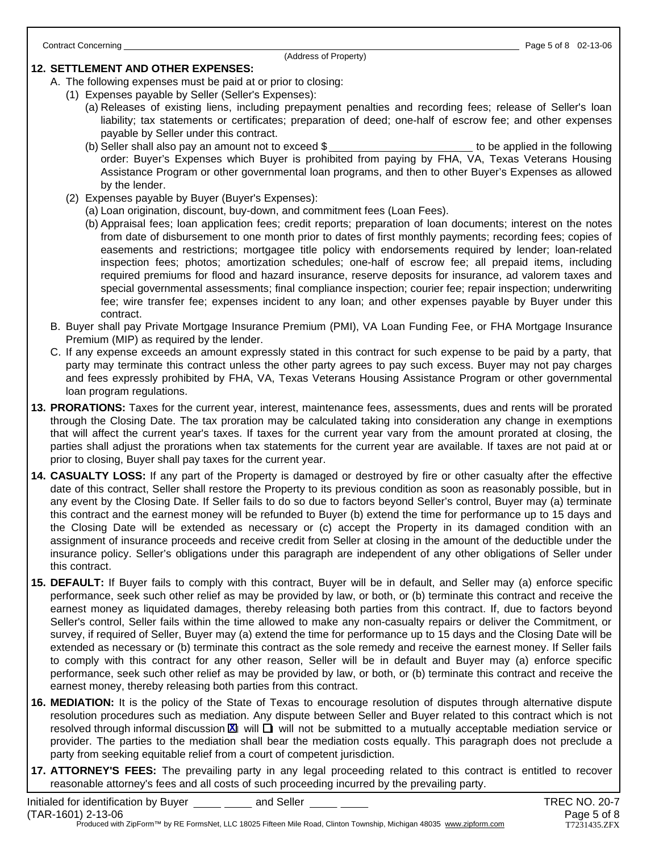## **12. SETTLEMENT AND OTHER EXPENSES:**

- A. The following expenses must be paid at or prior to closing:
	- (1) Expenses payable by Seller (Seller's Expenses):
		- (a) Releases of existing liens, including prepayment penalties and recording fees; release of Seller's loan liability; tax statements or certificates; preparation of deed; one-half of escrow fee; and other expenses payable by Seller under this contract.
		- (b) Seller shall also pay an amount not to exceed \$ to be applied in the following order: Buyer's Expenses which Buyer is prohibited from paying by FHA, VA, Texas Veterans Housing Assistance Program or other governmental loan programs, and then to other Buyer's Expenses as allowed by the lender.
	- (2) Expenses payable by Buyer (Buyer's Expenses):
		- (a) Loan origination, discount, buy-down, and commitment fees (Loan Fees).
		- (b) Appraisal fees; loan application fees; credit reports; preparation of loan documents; interest on the notes from date of disbursement to one month prior to dates of first monthly payments; recording fees; copies of easements and restrictions; mortgagee title policy with endorsements required by lender; loan-related inspection fees; photos; amortization schedules; one-half of escrow fee; all prepaid items, including required premiums for flood and hazard insurance, reserve deposits for insurance, ad valorem taxes and special governmental assessments; final compliance inspection; courier fee; repair inspection; underwriting fee; wire transfer fee; expenses incident to any loan; and other expenses payable by Buyer under this contract.
- B. Buyer shall pay Private Mortgage Insurance Premium (PMI), VA Loan Funding Fee, or FHA Mortgage Insurance Premium (MIP) as required by the lender.
- C. If any expense exceeds an amount expressly stated in this contract for such expense to be paid by a party, that party may terminate this contract unless the other party agrees to pay such excess. Buyer may not pay charges and fees expressly prohibited by FHA, VA, Texas Veterans Housing Assistance Program or other governmental loan program regulations.
- **13. PRORATIONS:** Taxes for the current year, interest, maintenance fees, assessments, dues and rents will be prorated through the Closing Date. The tax proration may be calculated taking into consideration any change in exemptions that will affect the current year's taxes. If taxes for the current year vary from the amount prorated at closing, the parties shall adjust the prorations when tax statements for the current year are available. If taxes are not paid at or prior to closing, Buyer shall pay taxes for the current year.
- **14. CASUALTY LOSS:** If any part of the Property is damaged or destroyed by fire or other casualty after the effective date of this contract, Seller shall restore the Property to its previous condition as soon as reasonably possible, but in any event by the Closing Date. If Seller fails to do so due to factors beyond Seller's control, Buyer may (a) terminate this contract and the earnest money will be refunded to Buyer (b) extend the time for performance up to 15 days and the Closing Date will be extended as necessary or (c) accept the Property in its damaged condition with an assignment of insurance proceeds and receive credit from Seller at closing in the amount of the deductible under the insurance policy. Seller's obligations under this paragraph are independent of any other obligations of Seller under this contract.
- **15. DEFAULT:** If Buyer fails to comply with this contract, Buyer will be in default, and Seller may (a) enforce specific performance, seek such other relief as may be provided by law, or both, or (b) terminate this contract and receive the earnest money as liquidated damages, thereby releasing both parties from this contract. If, due to factors beyond Seller's control, Seller fails within the time allowed to make any non-casualty repairs or deliver the Commitment, or survey, if required of Seller, Buyer may (a) extend the time for performance up to 15 days and the Closing Date will be extended as necessary or (b) terminate this contract as the sole remedy and receive the earnest money. If Seller fails to comply with this contract for any other reason, Seller will be in default and Buyer may (a) enforce specific performance, seek such other relief as may be provided by law, or both, or (b) terminate this contract and receive the earnest money, thereby releasing both parties from this contract.
- **16. MEDIATION:** It is the policy of the State of Texas to encourage resolution of disputes through alternative dispute provider. The parties to the mediation shall bear the mediation costs equally. This paragraph does not preclude a party from seeking equitable relief from a court of competent jurisdiction. resolved through informal discussion **X** will  $\Box$  will not be submitted to a mutually acceptable mediation service or resolution procedures such as mediation. Any dispute between Seller and Buyer related to this contract which is not
- **17. ATTORNEY'S FEES:** The prevailing party in any legal proceeding related to this contract is entitled to recover reasonable attorney's fees and all costs of such proceeding incurred by the prevailing party.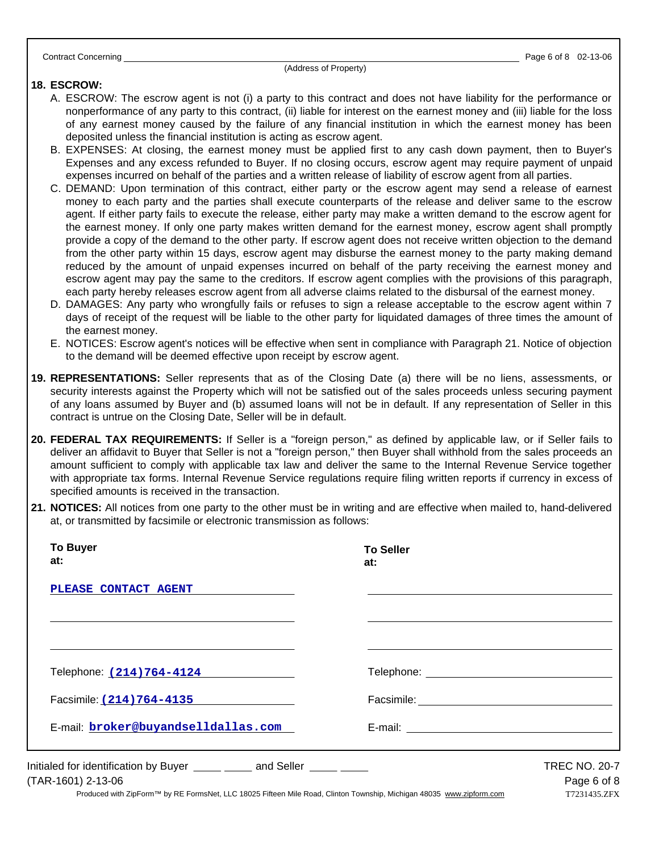Contract Concerning

(Address of Property)

## **18. ESCROW:**

- ESCROW: The escrow agent is not (i) a party to this contract and does not have liability for the performance or A. nonperformance of any party to this contract, (ii) liable for interest on the earnest money and (iii) liable for the loss of any earnest money caused by the failure of any financial institution in which the earnest money has been deposited unless the financial institution is acting as escrow agent.
- B. EXPENSES: At closing, the earnest money must be applied first to any cash down payment, then to Buyer's Expenses and any excess refunded to Buyer. If no closing occurs, escrow agent may require payment of unpaid expenses incurred on behalf of the parties and a written release of liability of escrow agent from all parties.
- C. DEMAND: Upon termination of this contract, either party or the escrow agent may send a release of earnest money to each party and the parties shall execute counterparts of the release and deliver same to the escrow agent. If either party fails to execute the release, either party may make a written demand to the escrow agent for the earnest money. If only one party makes written demand for the earnest money, escrow agent shall promptly provide a copy of the demand to the other party. If escrow agent does not receive written objection to the demand from the other party within 15 days, escrow agent may disburse the earnest money to the party making demand reduced by the amount of unpaid expenses incurred on behalf of the party receiving the earnest money and escrow agent may pay the same to the creditors. If escrow agent complies with the provisions of this paragraph, each party hereby releases escrow agent from all adverse claims related to the disbursal of the earnest money.
- D. DAMAGES: Any party who wrongfully fails or refuses to sign a release acceptable to the escrow agent within 7 days of receipt of the request will be liable to the other party for liquidated damages of three times the amount of the earnest money.
- E. NOTICES: Escrow agent's notices will be effective when sent in compliance with Paragraph 21. Notice of objection to the demand will be deemed effective upon receipt by escrow agent.
- **19. REPRESENTATIONS:** Seller represents that as of the Closing Date (a) there will be no liens, assessments, or security interests against the Property which will not be satisfied out of the sales proceeds unless securing payment of any loans assumed by Buyer and (b) assumed loans will not be in default. If any representation of Seller in this contract is untrue on the Closing Date, Seller will be in default.
- **20. FEDERAL TAX REQUIREMENTS:** If Seller is a "foreign person," as defined by applicable law, or if Seller fails to deliver an affidavit to Buyer that Seller is not a "foreign person," then Buyer shall withhold from the sales proceeds an amount sufficient to comply with applicable tax law and deliver the same to the Internal Revenue Service together with appropriate tax forms. Internal Revenue Service regulations require filing written reports if currency in excess of specified amounts is received in the transaction.
- **21. NOTICES:** All notices from one party to the other must be in writing and are effective when mailed to, hand-delivered at, or transmitted by facsimile or electronic transmission as follows:

| <b>To Buyer</b><br>at:                                                                       | <b>To Seller</b><br>at:             |
|----------------------------------------------------------------------------------------------|-------------------------------------|
| PLEASE CONTACT AGENT                                                                         |                                     |
|                                                                                              |                                     |
| Telephone: (214) 764-4124                                                                    |                                     |
| Facsimile: (214) 764-4135                                                                    |                                     |
| E-mail broker@buyandselldallas.com                                                           |                                     |
| Initialed for identification by Buyer _____ ____ and Seller _____ ____<br>(TAR-1601) 2-13-06 | <b>TREC NO. 20-7</b><br>Page 6 of 8 |

Produced with ZipForm™ by RE FormsNet, LLC 18025 Fifteen Mile Road, Clinton Township, Michigan 48035 www.zipform.com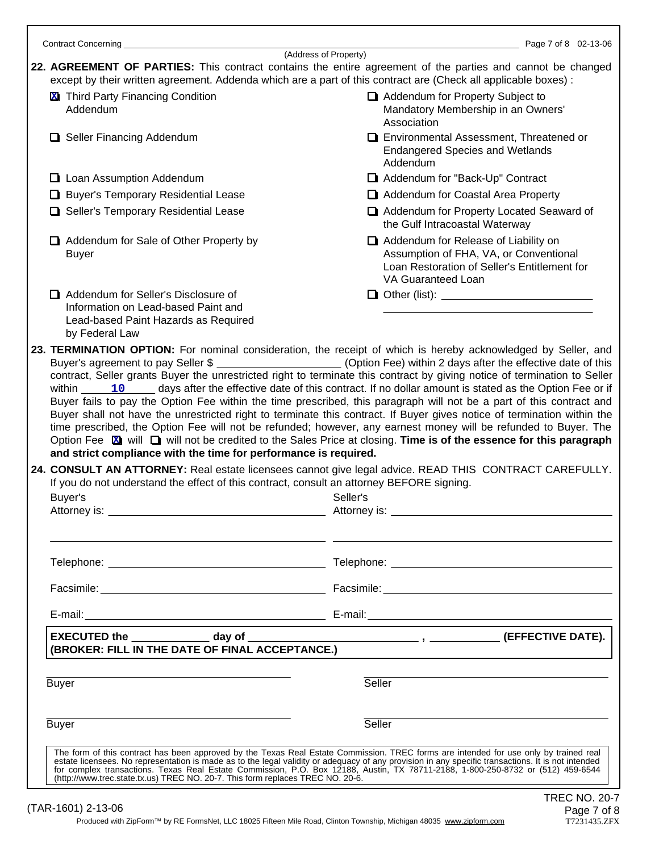| Contract Concerning                                                                                                                                                      | Page 7 of 8 02-13-06<br>(Address of Property)                                                                                                                                                                                                                                                                                                                                                                                                                                                |
|--------------------------------------------------------------------------------------------------------------------------------------------------------------------------|----------------------------------------------------------------------------------------------------------------------------------------------------------------------------------------------------------------------------------------------------------------------------------------------------------------------------------------------------------------------------------------------------------------------------------------------------------------------------------------------|
|                                                                                                                                                                          | 22. AGREEMENT OF PARTIES: This contract contains the entire agreement of the parties and cannot be changed<br>except by their written agreement. Addenda which are a part of this contract are (Check all applicable boxes) :                                                                                                                                                                                                                                                                |
| X Third Party Financing Condition<br>Addendum                                                                                                                            | Addendum for Property Subject to<br>Mandatory Membership in an Owners'<br>Association                                                                                                                                                                                                                                                                                                                                                                                                        |
| Seller Financing Addendum                                                                                                                                                | <b>E</b> Environmental Assessment, Threatened or<br><b>Endangered Species and Wetlands</b><br>Addendum                                                                                                                                                                                                                                                                                                                                                                                       |
| <b>L</b> Loan Assumption Addendum                                                                                                                                        | Addendum for "Back-Up" Contract                                                                                                                                                                                                                                                                                                                                                                                                                                                              |
| <b>Buyer's Temporary Residential Lease</b>                                                                                                                               | Addendum for Coastal Area Property                                                                                                                                                                                                                                                                                                                                                                                                                                                           |
| Seller's Temporary Residential Lease                                                                                                                                     | Addendum for Property Located Seaward of<br>the Gulf Intracoastal Waterway                                                                                                                                                                                                                                                                                                                                                                                                                   |
| $\Box$ Addendum for Sale of Other Property by<br><b>Buyer</b>                                                                                                            | $\Box$ Addendum for Release of Liability on<br>Assumption of FHA, VA, or Conventional<br>Loan Restoration of Seller's Entitlement for<br>VA Guaranteed Loan                                                                                                                                                                                                                                                                                                                                  |
| Addendum for Seller's Disclosure of<br>Information on Lead-based Paint and<br>Lead-based Paint Hazards as Required<br>by Federal Law                                     |                                                                                                                                                                                                                                                                                                                                                                                                                                                                                              |
| and strict compliance with the time for performance is required.<br>If you do not understand the effect of this contract, consult an attorney BEFORE signing.<br>Buyer's | Buyer shall not have the unrestricted right to terminate this contract. If Buyer gives notice of termination within the<br>time prescribed, the Option Fee will not be refunded; however, any earnest money will be refunded to Buyer. The<br>Option Fee <b>X</b> will □ will not be credited to the Sales Price at closing. Time is of the essence for this paragraph<br>24. CONSULT AN ATTORNEY: Real estate licensees cannot give legal advice. READ THIS CONTRACT CAREFULLY.<br>Seller's |
|                                                                                                                                                                          | <u> 1989 - Andrea Santana, Amerikaansk politiker (* 1989)</u>                                                                                                                                                                                                                                                                                                                                                                                                                                |
|                                                                                                                                                                          |                                                                                                                                                                                                                                                                                                                                                                                                                                                                                              |
|                                                                                                                                                                          |                                                                                                                                                                                                                                                                                                                                                                                                                                                                                              |
|                                                                                                                                                                          |                                                                                                                                                                                                                                                                                                                                                                                                                                                                                              |
| Buyer                                                                                                                                                                    | Seller                                                                                                                                                                                                                                                                                                                                                                                                                                                                                       |
| <b>Buyer</b>                                                                                                                                                             | Seller                                                                                                                                                                                                                                                                                                                                                                                                                                                                                       |
| (http://www.trec.state.tx.us) TREC NO. 20-7. This form replaces TREC NO. 20-6.                                                                                           | The form of this contract has been approved by the Texas Real Estate Commission. TREC forms are intended for use only by trained real<br>estate licensees. No representation is made as to the legal validity or adequacy of any provision in any specific transactions. It is not intended<br>for complex transactions. Texas Real Estate Commission, P.O. Box 12188, Aus                                                                                                                   |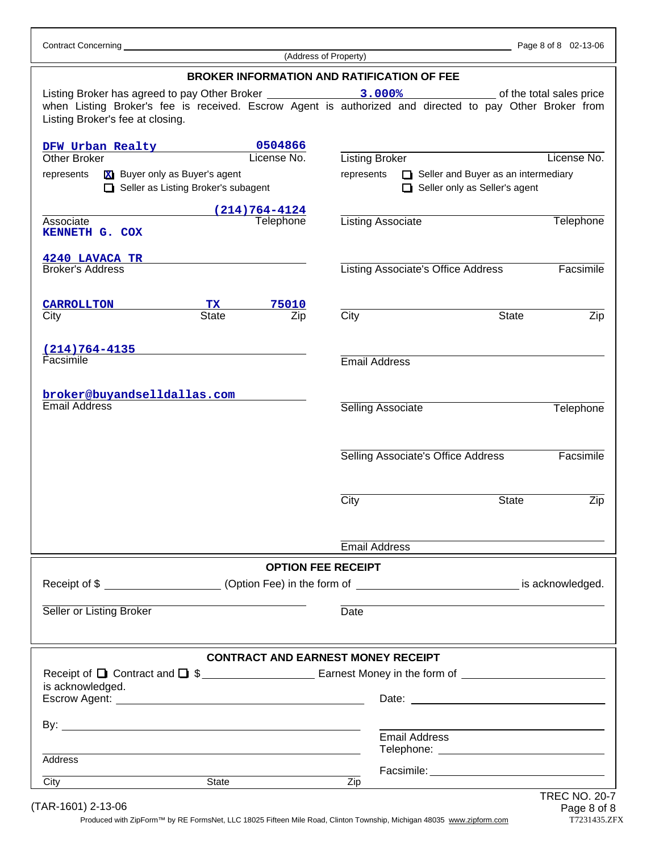| Contract Concerning<br>Contract Concerning<br>CAD (Address of Property)                                                                                                                                                       | Page 8 of 8 02-13-06                                                                                                       |
|-------------------------------------------------------------------------------------------------------------------------------------------------------------------------------------------------------------------------------|----------------------------------------------------------------------------------------------------------------------------|
|                                                                                                                                                                                                                               |                                                                                                                            |
| <b>BROKER INFORMATION AND RATIFICATION OF FEE</b><br>when Listing Broker's fee is received. Escrow Agent is authorized and directed to pay Other Broker from<br>Listing Broker's fee at closing.                              |                                                                                                                            |
| 0504866<br>DFW Urban Realty<br>License No.<br>Other Broker<br>X Buyer only as Buyer's agent<br>represents<br>Seller as Listing Broker's subagent                                                                              | <b>Listing Broker</b><br>License No.<br>Seller and Buyer as an intermediary<br>represents<br>Seller only as Seller's agent |
| $(214)764 - 4124$<br>Telephone<br>Associate<br>KENNETH G. COX                                                                                                                                                                 | Telephone<br><b>Listing Associate</b>                                                                                      |
| 4240 LAVACA TR<br><b>Broker's Address</b>                                                                                                                                                                                     | <b>Listing Associate's Office Address</b><br>Facsimile                                                                     |
| CARROLLTON<br>TX<br>75010<br><b>State</b><br>City<br>Zip                                                                                                                                                                      | <b>State</b><br>$\overline{City}$<br>Zip                                                                                   |
| $(214)764 - 4135$<br>Facsimile                                                                                                                                                                                                | <b>Email Address</b>                                                                                                       |
| broker@buyandselldallas.com<br>Email Address                                                                                                                                                                                  | Selling Associate<br>Telephone                                                                                             |
|                                                                                                                                                                                                                               | Selling Associate's Office Address<br>Facsimile                                                                            |
|                                                                                                                                                                                                                               | City<br><b>State</b><br>Zip                                                                                                |
|                                                                                                                                                                                                                               | <b>Email Address</b>                                                                                                       |
| <b>OPTION FEE RECEIPT</b>                                                                                                                                                                                                     |                                                                                                                            |
| Receipt of \$ _____________________(Option Fee) in the form of __________________________________ is acknowledged.                                                                                                            |                                                                                                                            |
| Seller or Listing Broker                                                                                                                                                                                                      | Date                                                                                                                       |
| <b>CONTRACT AND EARNEST MONEY RECEIPT</b>                                                                                                                                                                                     |                                                                                                                            |
| Receipt of <b>□</b> Contract and <b>□</b> \$_________________________ Earnest Money in the form of _____________________________<br>is acknowledged.                                                                          |                                                                                                                            |
| the control of the control of the control of the control of the control of the control of the control of the control of the control of the control of the control of the control of the control of the control of the control | <b>Email Address</b><br>Telephone: ______________________________                                                          |
| Address                                                                                                                                                                                                                       |                                                                                                                            |
| State<br>$\overline{City}$<br>(TAR-1601) 2-13-06                                                                                                                                                                              | Zip<br><b>TREC NO. 20-7</b><br>Page 8 of 8                                                                                 |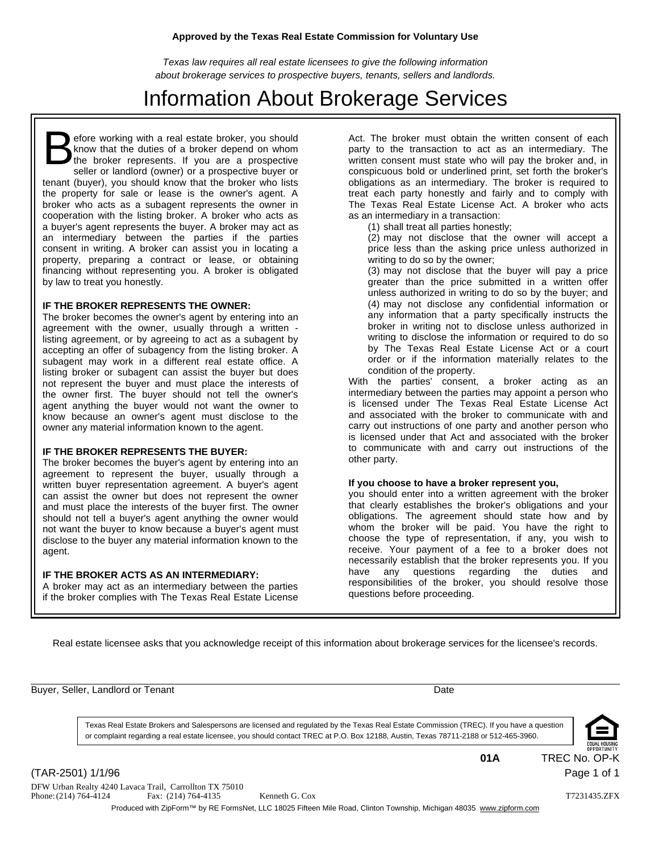*Texas law requires all real estate licensees to give the following information about brokerage services to prospective buyers, tenants, sellers and landlords.*

# Information About Brokerage Services

B efore working with a real estate broker, you should know that the duties of a broker depend on whom the broker represents. If you are a prospective seller or landlord (owner) or a prospective buyer or tenant (buyer), you should know that the broker who lists the property for sale or lease is the owner's agent. A broker who acts as a subagent represents the owner in cooperation with the listing broker. A broker who acts as a buyer's agent represents the buyer. A broker may act as an intermediary between the parties if the parties consent in writing. A broker can assist you in locating a property, preparing a contract or lease, or obtaining financing without representing you. A broker is obligated by law to treat you honestly.

#### **IF THE BROKER REPRESENTS THE OWNER:**

The broker becomes the owner's agent by entering into an agreement with the owner, usually through a written listing agreement, or by agreeing to act as a subagent by accepting an offer of subagency from the listing broker. A subagent may work in a different real estate office. A listing broker or subagent can assist the buyer but does not represent the buyer and must place the interests of the owner first. The buyer should not tell the owner's agent anything the buyer would not want the owner to know because an owner's agent must disclose to the owner any material information known to the agent.

#### **IF THE BROKER REPRESENTS THE BUYER:**

The broker becomes the buyer's agent by entering into an agreement to represent the buyer, usually through a written buyer representation agreement. A buyer's agent can assist the owner but does not represent the owner and must place the interests of the buyer first. The owner should not tell a buyer's agent anything the owner would not want the buyer to know because a buyer's agent must disclose to the buyer any material information known to the agent.

## **IF THE BROKER ACTS AS AN INTERMEDIARY:**

A broker may act as an intermediary between the parties if the broker complies with The Texas Real Estate License

Act. The broker must obtain the written consent of each party to the transaction to act as an intermediary. The written consent must state who will pay the broker and, in conspicuous bold or underlined print, set forth the broker's obligations as an intermediary. The broker is required to treat each party honestly and fairly and to comply with The Texas Real Estate License Act. A broker who acts as an intermediary in a transaction:

(1) shall treat all parties honestly;

(2) may not disclose that the owner will accept a price less than the asking price unless authorized in writing to do so by the owner;

(3) may not disclose that the buyer will pay a price greater than the price submitted in a written offer unless authorized in writing to do so by the buyer; and (4) may not disclose any confidential information or any information that a party specifically instructs the broker in writing not to disclose unless authorized in writing to disclose the information or required to do so by The Texas Real Estate License Act or a court order or if the information materially relates to the condition of the property.

With the parties' consent, a broker acting as an intermediary between the parties may appoint a person who is licensed under The Texas Real Estate License Act and associated with the broker to communicate with and carry out instructions of one party and another person who is licensed under that Act and associated with the broker to communicate with and carry out instructions of the other party.

### **If you choose to have a broker represent you,**

you should enter into a written agreement with the broker that clearly establishes the broker's obligations and your obligations. The agreement should state how and by whom the broker will be paid. You have the right to choose the type of representation, if any, you wish to receive. Your payment of a fee to a broker does not necessarily establish that the broker represents you. If you<br>have any questions regarding the duties and have any questions regarding the duties and responsibilities of the broker, you should resolve those questions before proceeding.

Real estate licensee asks that you acknowledge receipt of this information about brokerage services for the licensee's records.

| Buyer, Seller, Landlord or Tenant                                                                       |                                                                                                                                                                                                                                                                                 | Date |                                     |
|---------------------------------------------------------------------------------------------------------|---------------------------------------------------------------------------------------------------------------------------------------------------------------------------------------------------------------------------------------------------------------------------------|------|-------------------------------------|
|                                                                                                         | Texas Real Estate Brokers and Salespersons are licensed and requlated by the Texas Real Estate Commission (TREC). If you have a question<br>or complaint regarding a real estate licensee, you should contact TREC at P.O. Box 12188, Austin, Texas 78711-2188 or 512-465-3960. |      | <b>EQUAL HOUSING</b><br>OPPORTUNITY |
|                                                                                                         |                                                                                                                                                                                                                                                                                 | 01A  | TREC No. OP-K                       |
| (TAR-2501) 1/1/96                                                                                       |                                                                                                                                                                                                                                                                                 |      | Page 1 of 1                         |
| DFW Urban Realty 4240 Lavaca Trail, Carrollton TX 75010<br>Phone: (214) 764-4124<br>Fax: (214) 764-4135 | Kenneth G. Cox                                                                                                                                                                                                                                                                  |      | T7231435.ZFX                        |

Produced with ZipForm™ by RE FormsNet, LLC 18025 Fifteen Mile Road, Clinton Township, Michigan 48035 www.zipform.com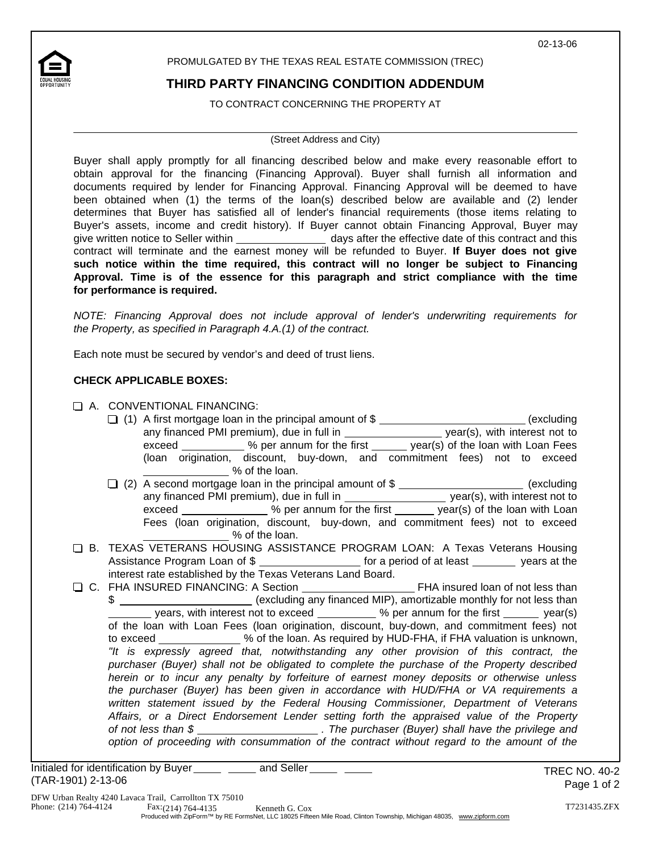

## PROMULGATED BY THE TEXAS REAL ESTATE COMMISSION (TREC)

## **THIRD PARTY FINANCING CONDITION ADDENDUM**

TO CONTRACT CONCERNING THE PROPERTY AT

(Street Address and City)

Buyer shall apply promptly for all financing described below and make every reasonable effort to obtain approval for the financing (Financing Approval). Buyer shall furnish all information and documents required by lender for Financing Approval. Financing Approval will be deemed to have been obtained when (1) the terms of the loan(s) described below are available and (2) lender determines that Buyer has satisfied all of lender's financial requirements (those items relating to Buyer's assets, income and credit history). If Buyer cannot obtain Financing Approval, Buyer may give written notice to Seller within \_\_\_\_\_\_\_\_\_\_\_\_\_\_\_\_\_\_\_ days after the effective date of this contract and this contract will terminate and the earnest money will be refunded to Buyer. **If Buyer does not give such notice within the time required, this contract will no longer be subject to Financing Approval. Time is of the essence for this paragraph and strict compliance with the time for performance is required.**

*NOTE: Financing Approval does not include approval of lender's underwriting requirements for the Property, as specified in Paragraph 4.A.(1) of the contract.*

Each note must be secured by vendor's and deed of trust liens.

## **CHECK APPLICABLE BOXES:**

| $\Box$ A. CONVENTIONAL FINANCING: |  |
|-----------------------------------|--|
|-----------------------------------|--|

|  | □ (1) A first mortgage loan in the principal amount of \$ _______________________(excluding                                                                         |
|--|---------------------------------------------------------------------------------------------------------------------------------------------------------------------|
|  | exceed ___________% per annum for the first _______ year(s) of the loan with Loan Fees<br>(loan origination, discount, buy-down, and commitment fees) not to exceed |
|  | 2% of the loan.                                                                                                                                                     |
|  | (2) A second mortgage loan in the principal amount of \$ _______________________ (excluding                                                                         |
|  | any financed PMI premium), due in full in _________________________ year(s), with interest not to                                                                   |
|  | exceed ________________% per annum for the first ________ year(s) of the loan with Loan                                                                             |
|  | Fees (loan origination, discount, buy-down, and commitment fees) not to exceed                                                                                      |
|  | <b>Example 2</b> % of the loan.                                                                                                                                     |
|  | B. TEXAS VETERANS HOUSING ASSISTANCE PROGRAM LOAN: A Texas Veterans Housing                                                                                         |
|  | Assistance Program Loan of \$ ____________________ for a period of at least ________ years at the                                                                   |
|  | interest rate established by the Texas Veterans Land Board.                                                                                                         |
|  |                                                                                                                                                                     |
|  | \$ ___________________________(excluding any financed MIP), amortizable monthly for not less than                                                                   |
|  | years, with interest not to exceed ___________ % per annum for the first ______ year(s)                                                                             |
|  | of the loan with Loan Fees (loan origination, discount, buy-down, and commitment fees) not                                                                          |
|  | to exceed _______________% of the loan. As required by HUD-FHA, if FHA valuation is unknown,                                                                        |
|  | "It is expressly agreed that, notwithstanding any other provision of this contract, the                                                                             |
|  | purchaser (Buyer) shall not be obligated to complete the purchase of the Property described                                                                         |
|  | herein or to incur any penalty by forfeiture of earnest money deposits or otherwise unless                                                                          |
|  | the purchaser (Buyer) has been given in accordance with HUD/FHA or VA requirements a                                                                                |
|  | written statement issued by the Federal Housing Commissioner, Department of Veterans                                                                                |
|  | Affairs, or a Direct Endorsement Lender setting forth the appraised value of the Property                                                                           |
|  |                                                                                                                                                                     |
|  | option of proceeding with consummation of the contract without regard to the amount of the                                                                          |

Initialed for identification by Buyer \_\_\_\_\_\_ \_\_\_\_\_ and Seller \_\_\_\_\_ \_\_\_\_\_ \_\_\_\_\_ TREC NO. 40-2 (TAR-1901) 2-13-06 Page 1 of 2

 $\Box$ 

 $\Box$